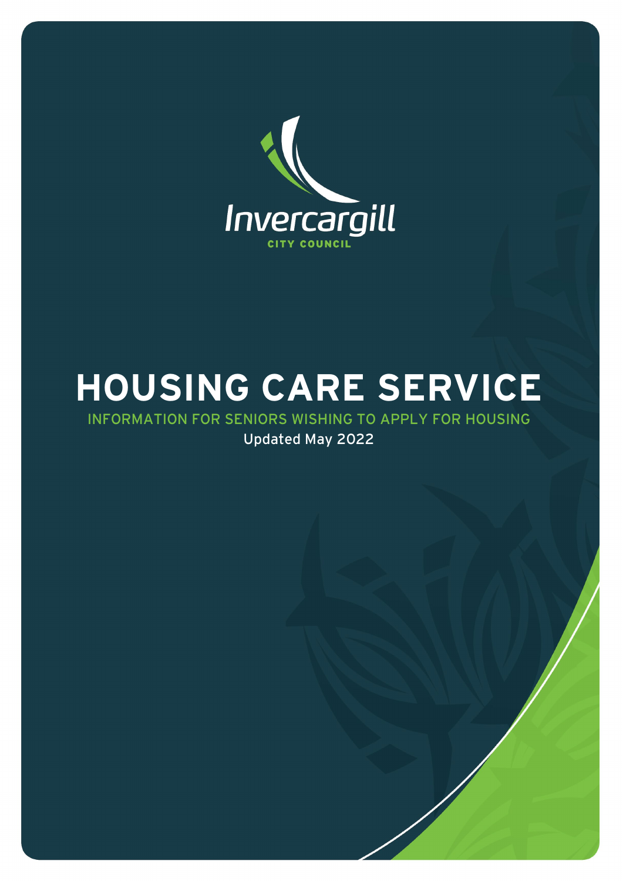

# **HOUSING CARE SERVICE**

INFORMATION FOR SENIORS WISHING TO APPLY FOR HOUSING

# Updated May 2022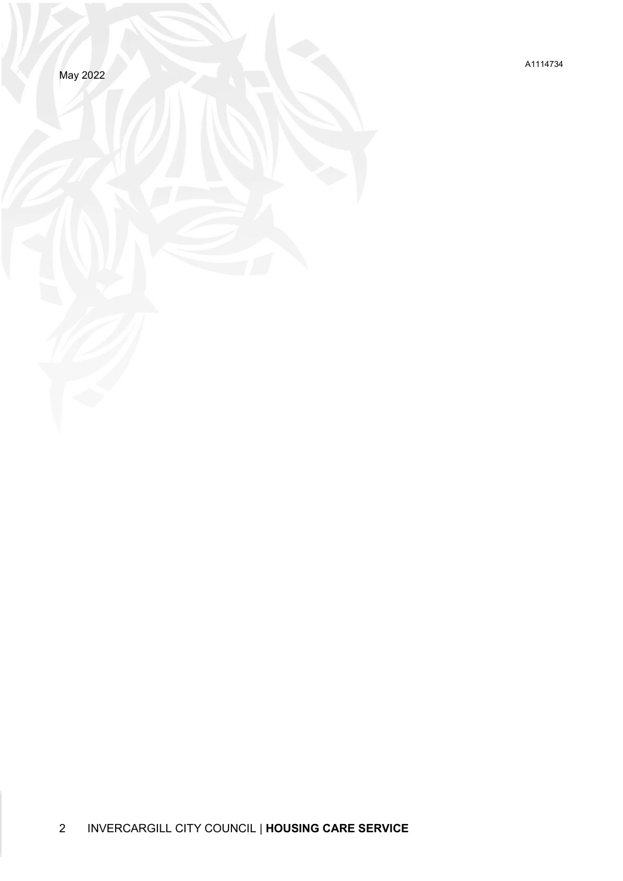May 2022

A1114734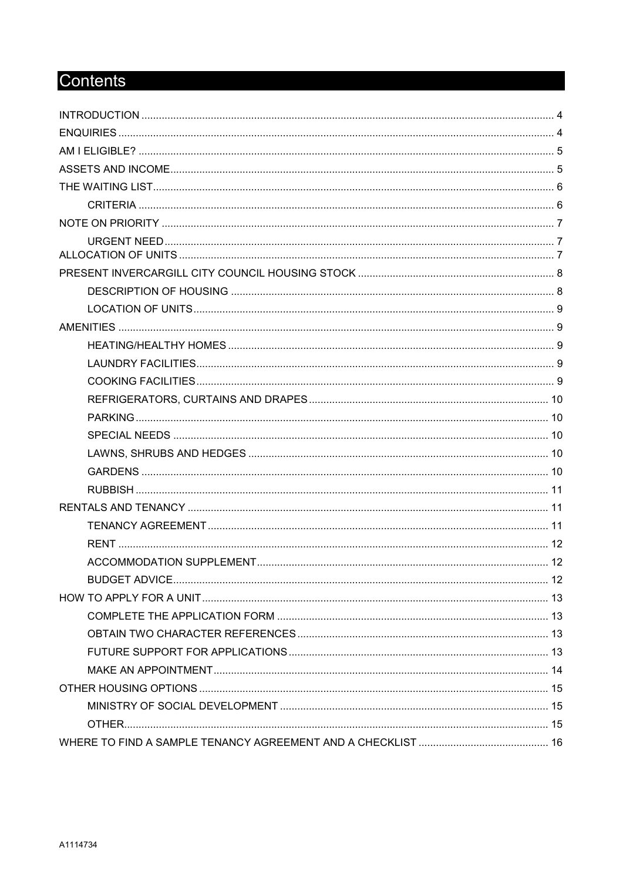# Contents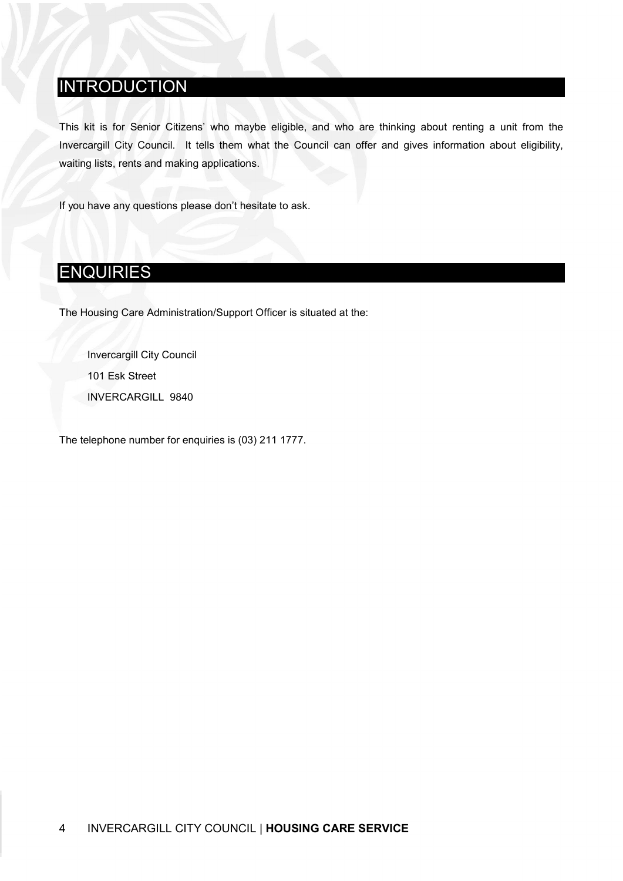# <span id="page-3-0"></span>**INTRODUCTION**

This kit is for Senior Citizens' who maybe eligible, and who are thinking about renting a unit from the Invercargill City Council. It tells them what the Council can offer and gives information about eligibility, waiting lists, rents and making applications.

If you have any questions please don't hesitate to ask.

# <span id="page-3-1"></span>**ENQUIRIES**

The Housing Care Administration/Support Officer is situated at the:

Invercargill City Council 101 Esk Street INVERCARGILL 9840

The telephone number for enquiries is (03) 211 1777.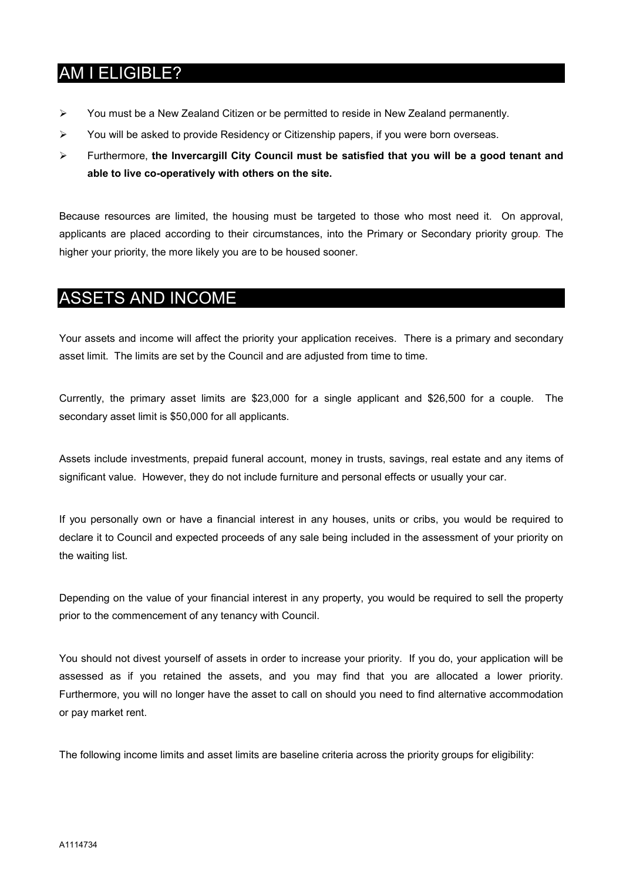## <span id="page-4-0"></span>AM I ELIGIBLE?

- $\triangleright$  You must be a New Zealand Citizen or be permitted to reside in New Zealand permanently.
- $\triangleright$  You will be asked to provide Residency or Citizenship papers, if you were born overseas.
- Furthermore, **the Invercargill City Council must be satisfied that you will be a good tenant and able to live co-operatively with others on the site.**

Because resources are limited, the housing must be targeted to those who most need it. On approval, applicants are placed according to their circumstances, into the Primary or Secondary priority group*.* The higher your priority, the more likely you are to be housed sooner.

## <span id="page-4-1"></span>ASSETS AND INCOME

Your assets and income will affect the priority your application receives. There is a primary and secondary asset limit. The limits are set by the Council and are adjusted from time to time.

Currently, the primary asset limits are \$23,000 for a single applicant and \$26,500 for a couple. The secondary asset limit is \$50,000 for all applicants.

Assets include investments, prepaid funeral account, money in trusts, savings, real estate and any items of significant value. However, they do not include furniture and personal effects or usually your car.

If you personally own or have a financial interest in any houses, units or cribs, you would be required to declare it to Council and expected proceeds of any sale being included in the assessment of your priority on the waiting list.

Depending on the value of your financial interest in any property, you would be required to sell the property prior to the commencement of any tenancy with Council.

You should not divest yourself of assets in order to increase your priority. If you do, your application will be assessed as if you retained the assets, and you may find that you are allocated a lower priority. Furthermore, you will no longer have the asset to call on should you need to find alternative accommodation or pay market rent.

The following income limits and asset limits are baseline criteria across the priority groups for eligibility: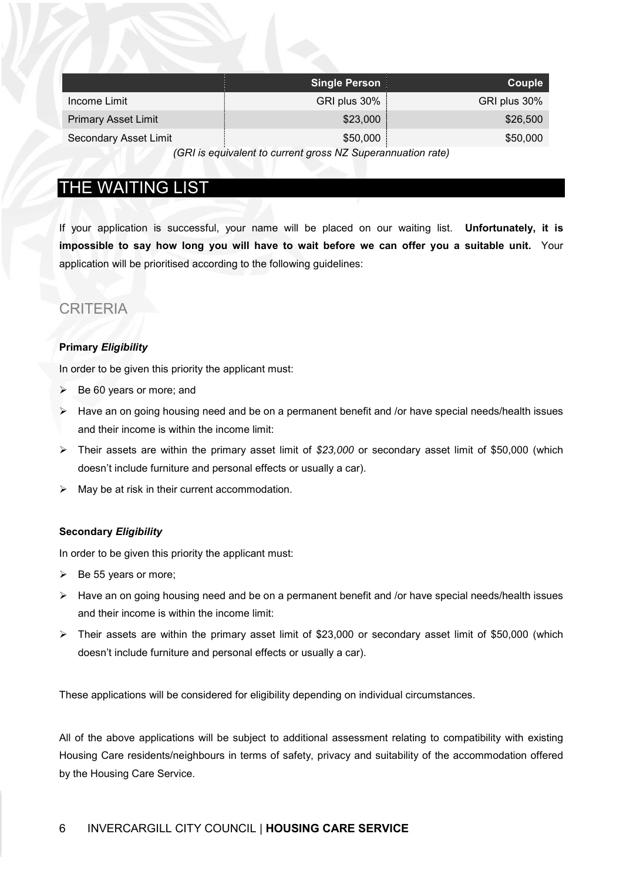|                                                             | <b>Single Person</b> | Couple       |  |
|-------------------------------------------------------------|----------------------|--------------|--|
| Income Limit                                                | GRI plus 30%         | GRI plus 30% |  |
| <b>Primary Asset Limit</b>                                  | \$23,000             | \$26,500     |  |
| Secondary Asset Limit                                       | \$50,000             | \$50,000     |  |
| (GRI is equivalent to current gross NZ Superannuation rate) |                      |              |  |

<span id="page-5-0"></span>**THE WAITING LIST** 

If your application is successful, your name will be placed on our waiting list. **Unfortunately, it is impossible to say how long you will have to wait before we can offer you a suitable unit.** Your application will be prioritised according to the following guidelines:

## <span id="page-5-1"></span>CRITERIA

#### **Primary** *Eligibility*

In order to be given this priority the applicant must:

- $\triangleright$  Be 60 years or more; and
- $\triangleright$  Have an on going housing need and be on a permanent benefit and /or have special needs/health issues and their income is within the income limit:
- Their assets are within the primary asset limit of *\$23,000* or secondary asset limit of \$50,000 (which doesn't include furniture and personal effects or usually a car).
- $\triangleright$  May be at risk in their current accommodation.

#### **Secondary** *Eligibility*

In order to be given this priority the applicant must:

- $\triangleright$  Be 55 years or more;
- $\triangleright$  Have an on going housing need and be on a permanent benefit and /or have special needs/health issues and their income is within the income limit:
- Their assets are within the primary asset limit of \$23,000 or secondary asset limit of \$50,000 (which doesn't include furniture and personal effects or usually a car).

These applications will be considered for eligibility depending on individual circumstances.

All of the above applications will be subject to additional assessment relating to compatibility with existing Housing Care residents/neighbours in terms of safety, privacy and suitability of the accommodation offered by the Housing Care Service.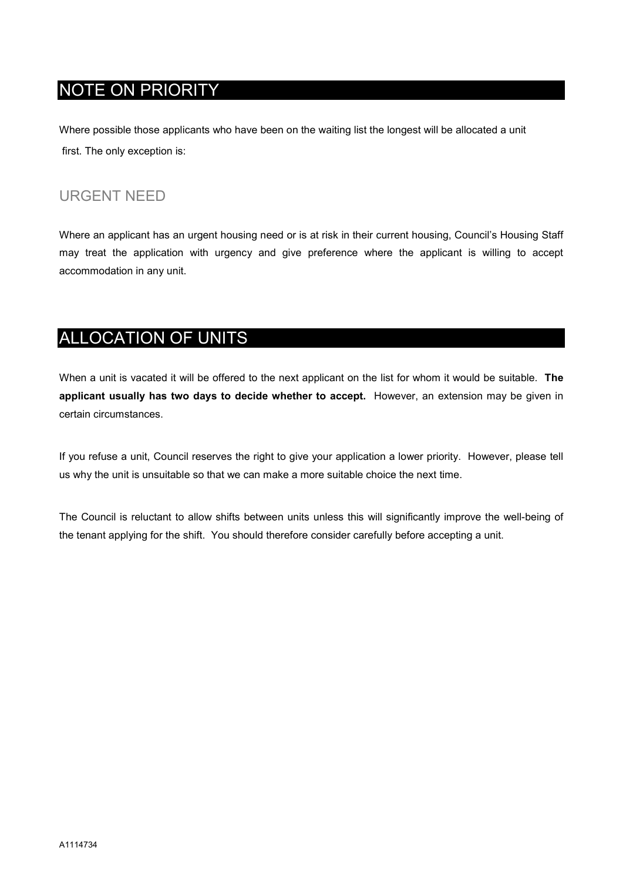# <span id="page-6-0"></span>NOTE ON PRIORITY

Where possible those applicants who have been on the waiting list the longest will be allocated a unit first. The only exception is:

## <span id="page-6-1"></span>URGENT NEED

Where an applicant has an urgent housing need or is at risk in their current housing, Council's Housing Staff may treat the application with urgency and give preference where the applicant is willing to accept accommodation in any unit.

## <span id="page-6-2"></span>ALLOCATION OF UNITS

When a unit is vacated it will be offered to the next applicant on the list for whom it would be suitable. **The applicant usually has two days to decide whether to accept.** However, an extension may be given in certain circumstances.

If you refuse a unit, Council reserves the right to give your application a lower priority. However, please tell us why the unit is unsuitable so that we can make a more suitable choice the next time.

The Council is reluctant to allow shifts between units unless this will significantly improve the well-being of the tenant applying for the shift. You should therefore consider carefully before accepting a unit.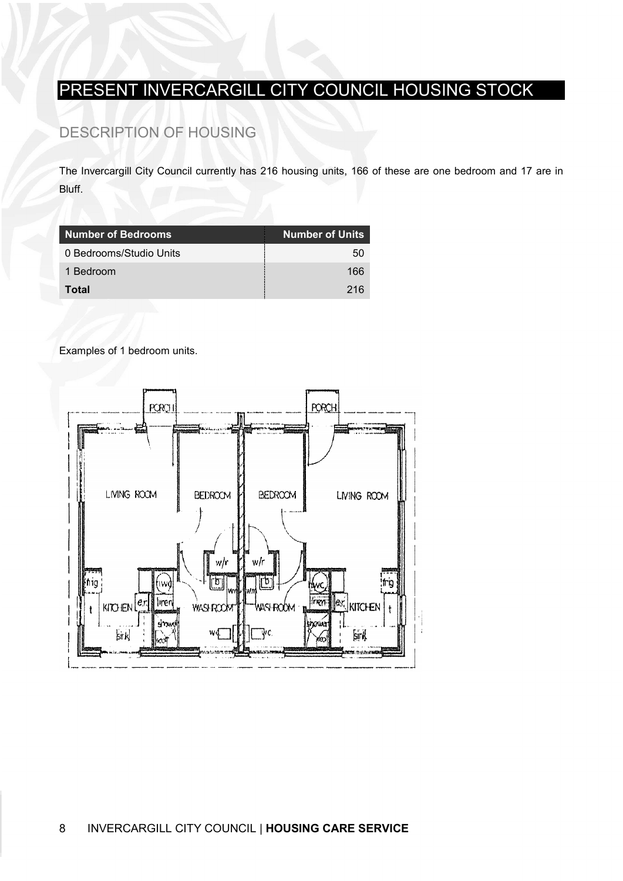# <span id="page-7-0"></span>PRESENT INVERCARGILL CITY COUNCIL HOUSING STOCK

## <span id="page-7-1"></span>DESCRIPTION OF HOUSING

The Invercargill City Council currently has 216 housing units, 166 of these are one bedroom and 17 are in Bluff.

| Number of Bedrooms      | <b>Number of Units</b> |
|-------------------------|------------------------|
| 0 Bedrooms/Studio Units | 50                     |
| 1 Bedroom               | 166                    |
| Total                   | 216                    |

Examples of 1 bedroom units.

<span id="page-7-2"></span>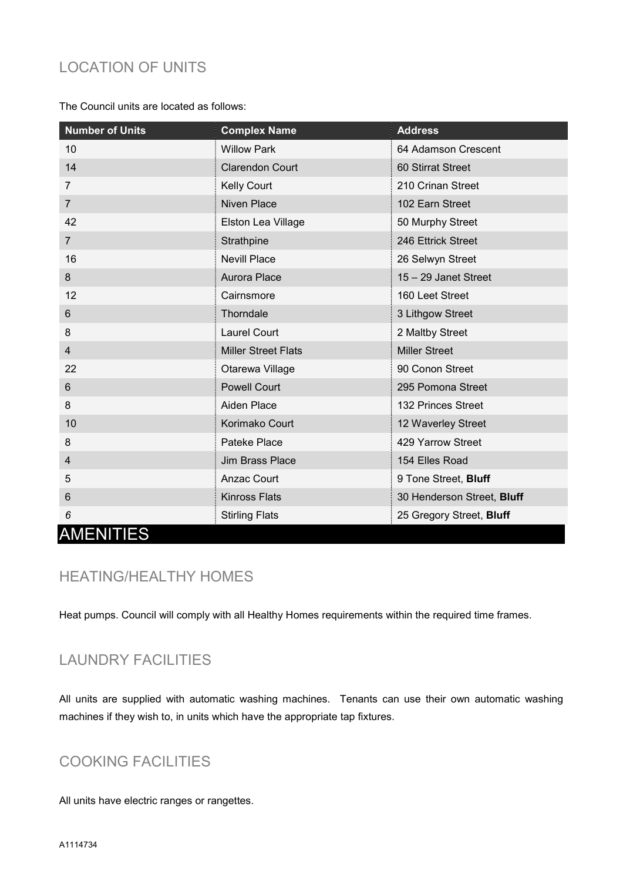## LOCATION OF UNITS

The Council units are located as follows:

| <b>Number of Units</b> | <b>Complex Name</b>        | <b>Address</b>             |
|------------------------|----------------------------|----------------------------|
| 10                     | <b>Willow Park</b>         | 64 Adamson Crescent        |
| 14                     | <b>Clarendon Court</b>     | 60 Stirrat Street          |
| $\overline{7}$         | <b>Kelly Court</b>         | 210 Crinan Street          |
| $\overline{7}$         | Niven Place                | 102 Earn Street            |
| 42                     | Elston Lea Village         | 50 Murphy Street           |
| $\overline{7}$         | Strathpine                 | 246 Ettrick Street         |
| 16                     | <b>Nevill Place</b>        | 26 Selwyn Street           |
| 8                      | Aurora Place               | 15 - 29 Janet Street       |
| 12                     | Cairnsmore                 | 160 Leet Street            |
| $6\phantom{1}$         | Thorndale                  | 3 Lithgow Street           |
| 8                      | Laurel Court               | 2 Maltby Street            |
| $\overline{4}$         | <b>Miller Street Flats</b> | <b>Miller Street</b>       |
| 22                     | Otarewa Village            | 90 Conon Street            |
| $6\phantom{1}$         | <b>Powell Court</b>        | 295 Pomona Street          |
| 8                      | Aiden Place                | 132 Princes Street         |
| 10                     | Korimako Court             | 12 Waverley Street         |
| 8                      | Pateke Place               | 429 Yarrow Street          |
| $\overline{4}$         | Jim Brass Place            | 154 Elles Road             |
| 5                      | Anzac Court                | 9 Tone Street, Bluff       |
| $6\phantom{1}$         | <b>Kinross Flats</b>       | 30 Henderson Street, Bluff |
| 6                      | <b>Stirling Flats</b>      | 25 Gregory Street, Bluff   |
| <b>AMENITIES</b>       |                            |                            |

## <span id="page-8-1"></span><span id="page-8-0"></span>HEATING/HEALTHY HOMES

Heat pumps. Council will comply with all Healthy Homes requirements within the required time frames.

## <span id="page-8-2"></span>LAUNDRY FACILITIES

All units are supplied with automatic washing machines. Tenants can use their own automatic washing machines if they wish to, in units which have the appropriate tap fixtures.

### <span id="page-8-3"></span>COOKING FACILITIES

All units have electric ranges or rangettes.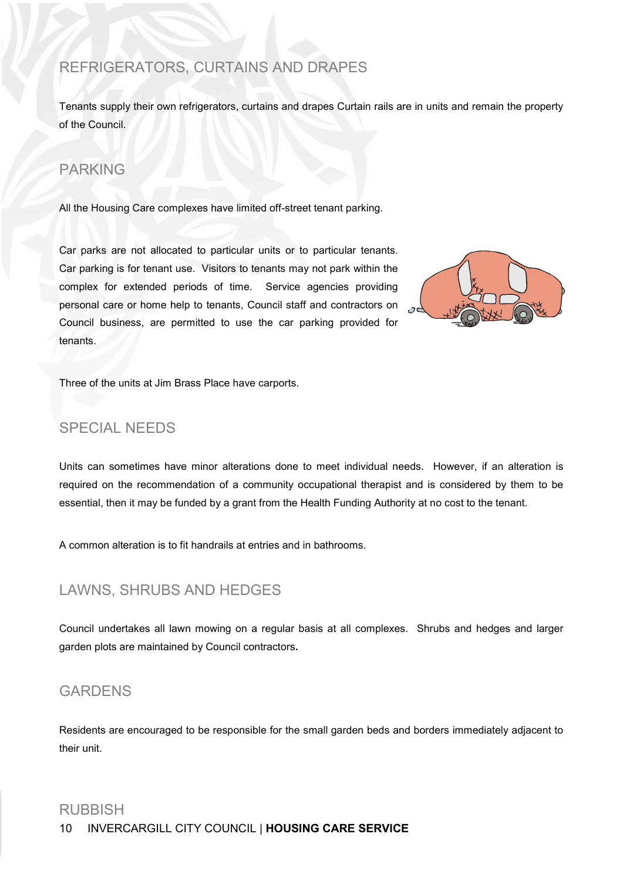# <span id="page-9-0"></span>REFRIGERATORS, CURTAINS AND DRAPES

Tenants supply their own refrigerators, curtains and drapes Curtain rails are in units and remain the property of the Council.

#### <span id="page-9-1"></span>PARKING

All the Housing Care complexes have limited off-street tenant parking.

Car parks are not allocated to particular units or to particular tenants. Car parking is for tenant use. Visitors to tenants may not park within the complex for extended periods of time. Service agencies providing personal care or home help to tenants, Council staff and contractors on Council business, are permitted to use the car parking provided for tenants.



Three of the units at Jim Brass Place have carports.

## <span id="page-9-2"></span>SPECIAL NEEDS

Units can sometimes have minor alterations done to meet individual needs. However, if an alteration is required on the recommendation of a community occupational therapist and is considered by them to be essential, then it may be funded by a grant from the Health Funding Authority at no cost to the tenant.

A common alteration is to fit handrails at entries and in bathrooms.

## <span id="page-9-3"></span>LAWNS, SHRUBS AND HEDGES

Council undertakes all lawn mowing on a regular basis at all complexes. Shrubs and hedges and larger garden plots are maintained by Council contractors**.**

### <span id="page-9-4"></span>GARDENS

Residents are encouraged to be responsible for the small garden beds and borders immediately adjacent to their unit.

#### <span id="page-9-5"></span>RUBBISH

10 INVERCARGILL CITY COUNCIL | **HOUSING CARE SERVICE**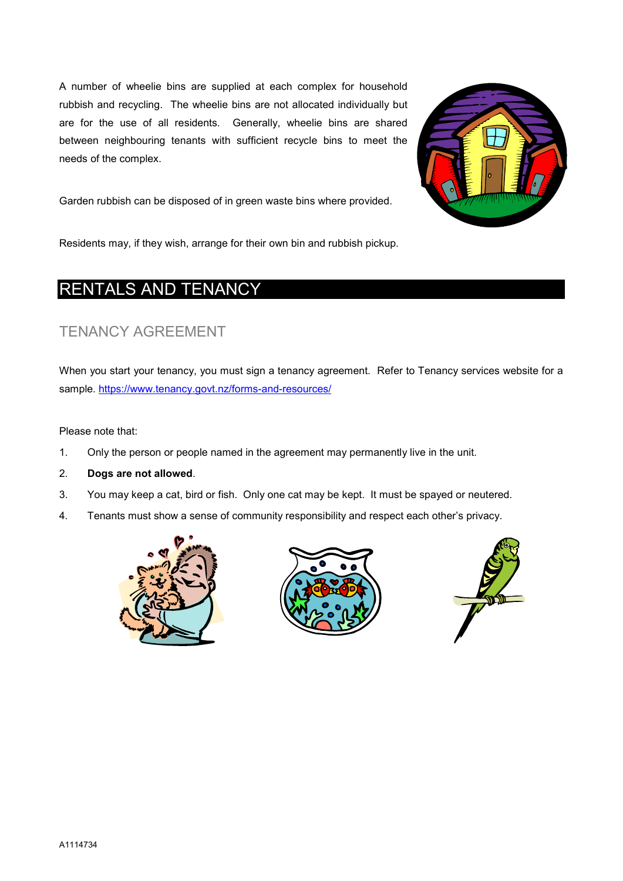A number of wheelie bins are supplied at each complex for household rubbish and recycling. The wheelie bins are not allocated individually but are for the use of all residents. Generally, wheelie bins are shared between neighbouring tenants with sufficient recycle bins to meet the needs of the complex.



Garden rubbish can be disposed of in green waste bins where provided.

Residents may, if they wish, arrange for their own bin and rubbish pickup.

## RENTALS AND TENANCY

## TENANCY AGREEMENT

When you start your tenancy, you must sign a tenancy agreement. Refer to Tenancy services website for a sample.<https://www.tenancy.govt.nz/forms-and-resources/>

Please note that:

1. Only the person or people named in the agreement may permanently live in the unit.

#### 2. **Dogs are not allowed**.

- 3. You may keep a cat, bird or fish. Only one cat may be kept. It must be spayed or neutered.
- 4. Tenants must show a sense of community responsibility and respect each other's privacy.





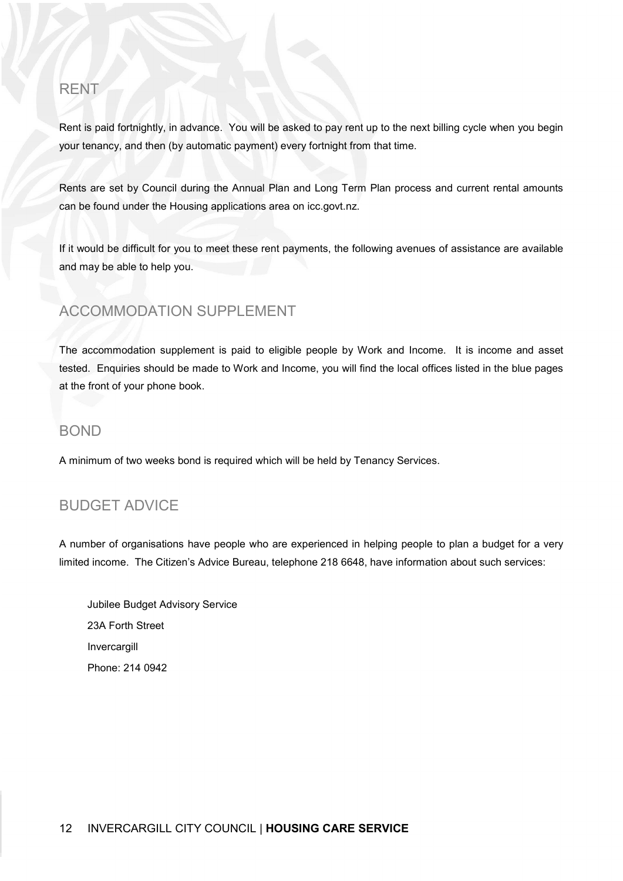#### <span id="page-11-0"></span>RENT

Rent is paid fortnightly, in advance. You will be asked to pay rent up to the next billing cycle when you begin your tenancy, and then (by automatic payment) every fortnight from that time.

Rents are set by Council during the Annual Plan and Long Term Plan process and current rental amounts can be found under the Housing applications area on icc.govt.nz.

If it would be difficult for you to meet these rent payments, the following avenues of assistance are available and may be able to help you.

## <span id="page-11-1"></span>ACCOMMODATION SUPPLEMENT

The accommodation supplement is paid to eligible people by Work and Income. It is income and asset tested. Enquiries should be made to Work and Income, you will find the local offices listed in the blue pages at the front of your phone book.

#### BOND

A minimum of two weeks bond is required which will be held by Tenancy Services.

### <span id="page-11-2"></span>BUDGET ADVICE

A number of organisations have people who are experienced in helping people to plan a budget for a very limited income. The Citizen's Advice Bureau, telephone 218 6648, have information about such services:

Jubilee Budget Advisory Service 23A Forth Street **Invercargill** Phone: 214 0942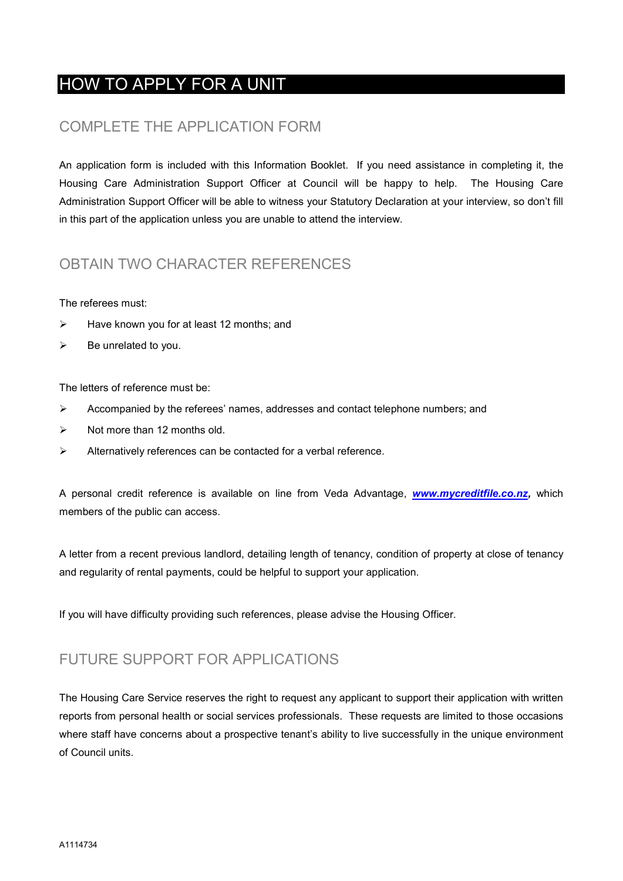## <span id="page-12-0"></span>HOW TO APPLY FOR A UNIT

## <span id="page-12-1"></span>COMPLETE THE APPLICATION FORM

An application form is included with this Information Booklet. If you need assistance in completing it, the Housing Care Administration Support Officer at Council will be happy to help. The Housing Care Administration Support Officer will be able to witness your Statutory Declaration at your interview, so don't fill in this part of the application unless you are unable to attend the interview.

## OBTAIN TWO CHARACTER REFERENCES

The referees must:

- $\triangleright$  Have known you for at least 12 months; and
- $\triangleright$  Be unrelated to you.

The letters of reference must be:

- $\triangleright$  Accompanied by the referees' names, addresses and contact telephone numbers; and
- $\triangleright$  Not more than 12 months old.
- Alternatively references can be contacted for a verbal reference.

A personal credit reference is available on line from Veda Advantage, *[www.mycreditfile.co.nz,](http://www.mycreditfile.co.nz/)* which members of the public can access.

A letter from a recent previous landlord, detailing length of tenancy, condition of property at close of tenancy and regularity of rental payments, could be helpful to support your application.

If you will have difficulty providing such references, please advise the Housing Officer.

## <span id="page-12-2"></span>FUTURE SUPPORT FOR APPLICATIONS

The Housing Care Service reserves the right to request any applicant to support their application with written reports from personal health or social services professionals. These requests are limited to those occasions where staff have concerns about a prospective tenant's ability to live successfully in the unique environment of Council units.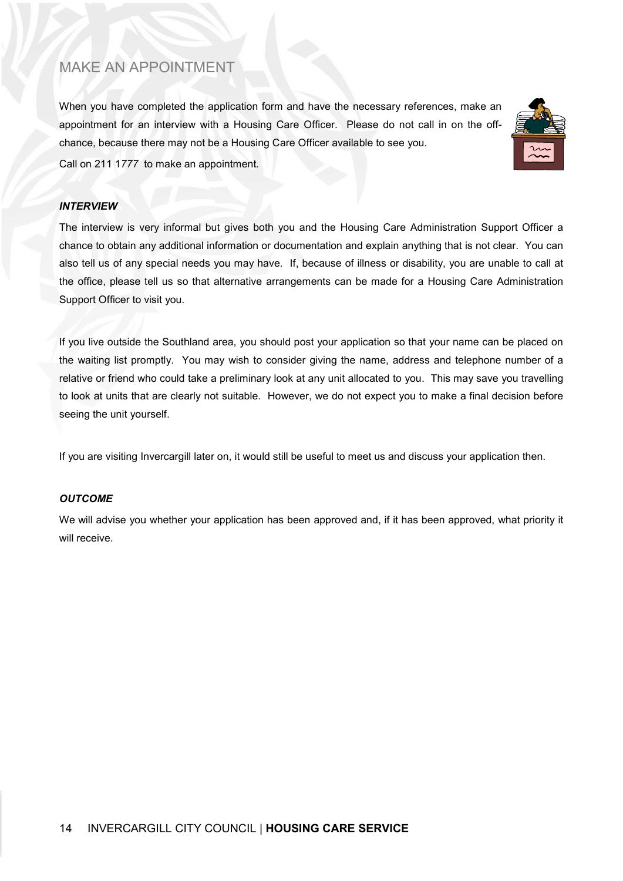## <span id="page-13-0"></span>MAKE AN APPOINTMENT

When you have completed the application form and have the necessary references, make an appointment for an interview with a Housing Care Officer. Please do not call in on the offchance, because there may not be a Housing Care Officer available to see you.



Call on 211 1*777* to make an appointment*.*

#### *INTERVIEW*

The interview is very informal but gives both you and the Housing Care Administration Support Officer a chance to obtain any additional information or documentation and explain anything that is not clear. You can also tell us of any special needs you may have. If, because of illness or disability, you are unable to call at the office, please tell us so that alternative arrangements can be made for a Housing Care Administration Support Officer to visit you.

If you live outside the Southland area, you should post your application so that your name can be placed on the waiting list promptly. You may wish to consider giving the name, address and telephone number of a relative or friend who could take a preliminary look at any unit allocated to you. This may save you travelling to look at units that are clearly not suitable. However, we do not expect you to make a final decision before seeing the unit yourself.

If you are visiting Invercargill later on, it would still be useful to meet us and discuss your application then.

#### *OUTCOME*

We will advise you whether your application has been approved and, if it has been approved, what priority it will receive.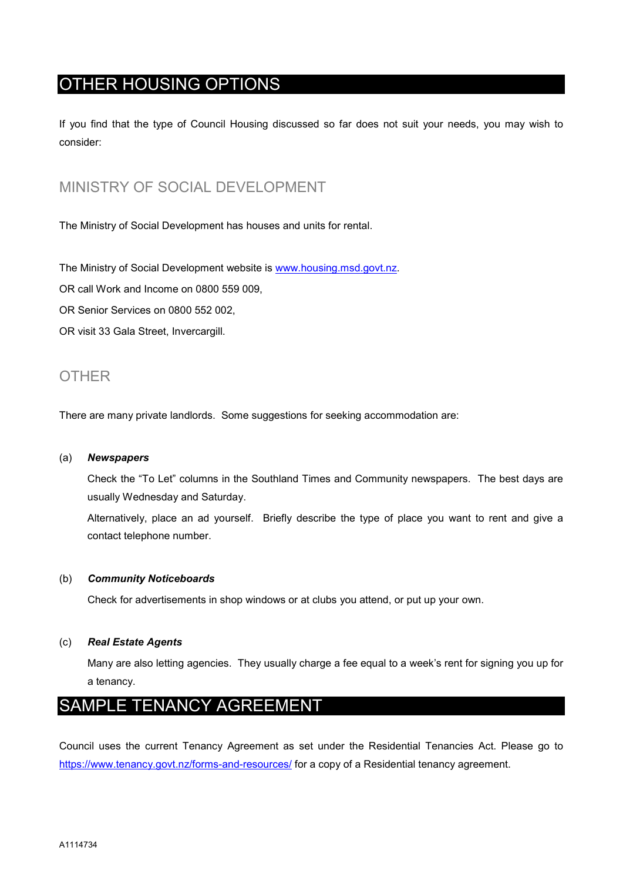## <span id="page-14-0"></span>OTHER HOUSING OPTIONS

If you find that the type of Council Housing discussed so far does not suit your needs, you may wish to consider:

## <span id="page-14-1"></span>MINISTRY OF SOCIAL DEVELOPMENT

The Ministry of Social Development has houses and units for rental.

The Ministry of Social Development website is [www.housing.msd.govt.nz.](http://www.housing.msd.govt.nz/)

OR call Work and Income on 0800 559 009,

OR Senior Services on 0800 552 002,

OR visit 33 Gala Street, Invercargill.

## <span id="page-14-2"></span>**OTHER**

There are many private landlords. Some suggestions for seeking accommodation are:

#### (a) *Newspapers*

Check the "To Let" columns in the Southland Times and Community newspapers. The best days are usually Wednesday and Saturday.

Alternatively, place an ad yourself. Briefly describe the type of place you want to rent and give a contact telephone number.

#### (b) *Community Noticeboards*

Check for advertisements in shop windows or at clubs you attend, or put up your own.

#### (c) *Real Estate Agents*

Many are also letting agencies. They usually charge a fee equal to a week's rent for signing you up for a tenancy.

## SAMPLE TENANCY AGREEMENT

Council uses the current Tenancy Agreement as set under the Residential Tenancies Act. Please go to <https://www.tenancy.govt.nz/forms-and-resources/> for a copy of a Residential tenancy agreement.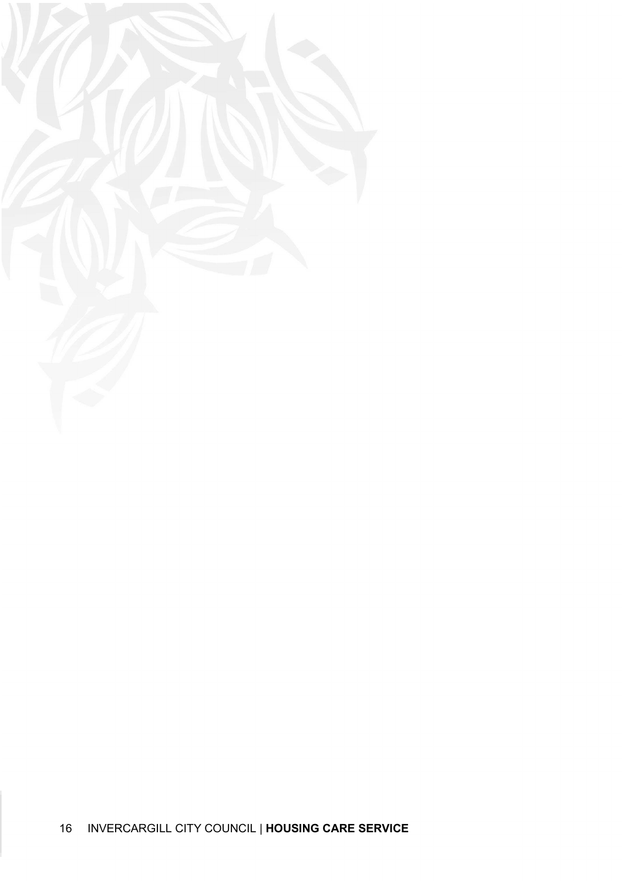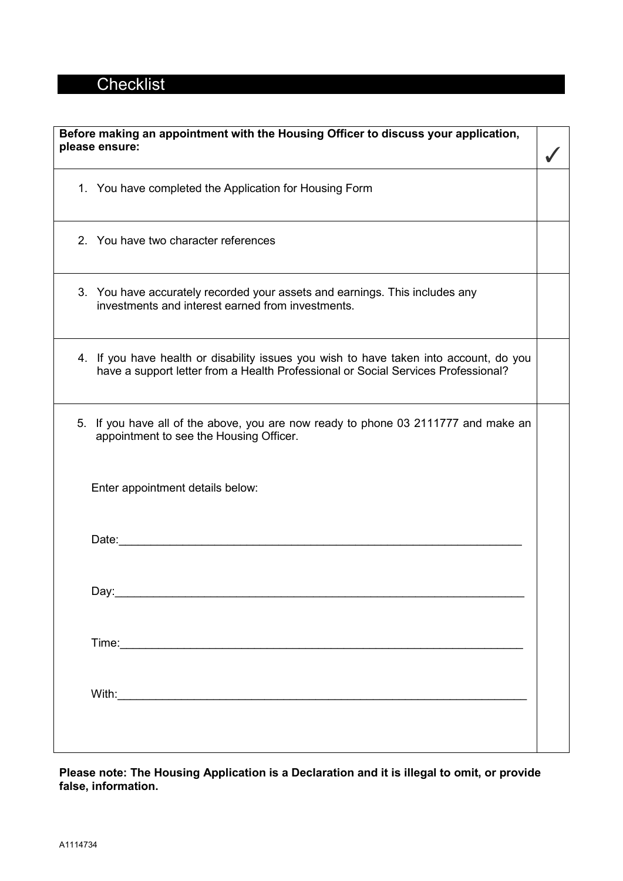# **Checklist**

| Before making an appointment with the Housing Officer to discuss your application,<br>please ensure:                                                                        |  |
|-----------------------------------------------------------------------------------------------------------------------------------------------------------------------------|--|
| 1. You have completed the Application for Housing Form                                                                                                                      |  |
| 2. You have two character references                                                                                                                                        |  |
| 3. You have accurately recorded your assets and earnings. This includes any<br>investments and interest earned from investments.                                            |  |
| 4. If you have health or disability issues you wish to have taken into account, do you<br>have a support letter from a Health Professional or Social Services Professional? |  |
| 5. If you have all of the above, you are now ready to phone 03 2111777 and make an<br>appointment to see the Housing Officer.                                               |  |
| Enter appointment details below:                                                                                                                                            |  |
| Date:                                                                                                                                                                       |  |
|                                                                                                                                                                             |  |
|                                                                                                                                                                             |  |
|                                                                                                                                                                             |  |
|                                                                                                                                                                             |  |

**Please note: The Housing Application is a Declaration and it is illegal to omit, or provide false, information.**